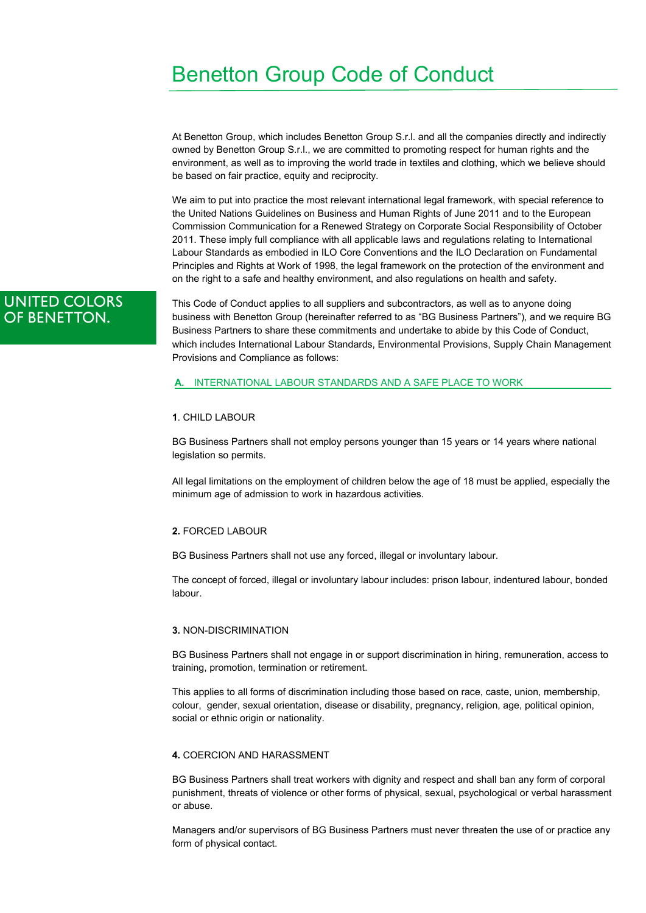# Benetton Group Code of Conduct

At Benetton Group, which includes Benetton Group S.r.l. and all the companies directly and indirectly owned by Benetton Group S.r.l., we are committed to promoting respect for human rights and the environment, as well as to improving the world trade in textiles and clothing, which we believe should be based on fair practice, equity and reciprocity.

We aim to put into practice the most relevant international legal framework, with special reference to the United Nations Guidelines on Business and Human Rights of June 2011 and to the European Commission Communication for a Renewed Strategy on Corporate Social Responsibility of October 2011. These imply full compliance with all applicable laws and regulations relating to International Labour Standards as embodied in ILO Core Conventions and the ILO Declaration on Fundamental Principles and Rights at Work of 1998, the legal framework on the protection of the environment and on the right to a safe and healthy environment, and also regulations on health and safety.

# **UNITED COLORS** OF BENETTON.

This Code of Conduct applies to all suppliers and subcontractors, as well as to anyone doing business with Benetton Group (hereinafter referred to as "BG Business Partners"), and we require BG Business Partners to share these commitments and undertake to abide by this Code of Conduct, which includes International Labour Standards, Environmental Provisions, Supply Chain Management Provisions and Compliance as follows:

#### **A.** INTERNATIONAL LABOUR STANDARDS AND A SAFE PLACE TO WORK

#### **1**. CHILD LABOUR

BG Business Partners shall not employ persons younger than 15 years or 14 years where national legislation so permits.

All legal limitations on the employment of children below the age of 18 must be applied, especially the minimum age of admission to work in hazardous activities.

# **2.** FORCED LABOUR

BG Business Partners shall not use any forced, illegal or involuntary labour.

The concept of forced, illegal or involuntary labour includes: prison labour, indentured labour, bonded labour.

#### **3.** NON-DISCRIMINATION

BG Business Partners shall not engage in or support discrimination in hiring, remuneration, access to training, promotion, termination or retirement.

This applies to all forms of discrimination including those based on race, caste, union, membership, colour, gender, sexual orientation, disease or disability, pregnancy, religion, age, political opinion, social or ethnic origin or nationality.

### **4.** COERCION AND HARASSMENT

BG Business Partners shall treat workers with dignity and respect and shall ban any form of corporal punishment, threats of violence or other forms of physical, sexual, psychological or verbal harassment or abuse.

Managers and/or supervisors of BG Business Partners must never threaten the use of or practice any form of physical contact.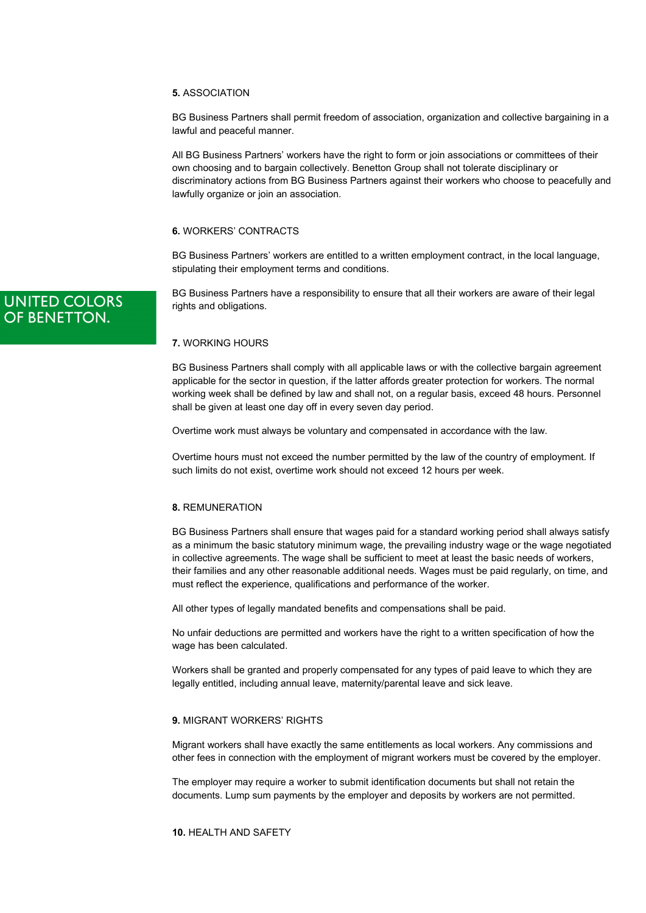#### **5.** ASSOCIATION

BG Business Partners shall permit freedom of association, organization and collective bargaining in a lawful and peaceful manner.

All BG Business Partners' workers have the right to form or join associations or committees of their own choosing and to bargain collectively. Benetton Group shall not tolerate disciplinary or discriminatory actions from BG Business Partners against their workers who choose to peacefully and lawfully organize or join an association.

# **6.** WORKERS' CONTRACTS

BG Business Partners' workers are entitled to a written employment contract, in the local language, stipulating their employment terms and conditions.

BG Business Partners have a responsibility to ensure that all their workers are aware of their legal rights and obligations.

# **7.** WORKING HOURS

BG Business Partners shall comply with all applicable laws or with the collective bargain agreement applicable for the sector in question, if the latter affords greater protection for workers. The normal working week shall be defined by law and shall not, on a regular basis, exceed 48 hours. Personnel shall be given at least one day off in every seven day period.

Overtime work must always be voluntary and compensated in accordance with the law.

Overtime hours must not exceed the number permitted by the law of the country of employment. If such limits do not exist, overtime work should not exceed 12 hours per week.

# **8.** REMUNERATION

BG Business Partners shall ensure that wages paid for a standard working period shall always satisfy as a minimum the basic statutory minimum wage, the prevailing industry wage or the wage negotiated in collective agreements. The wage shall be sufficient to meet at least the basic needs of workers, their families and any other reasonable additional needs. Wages must be paid regularly, on time, and must reflect the experience, qualifications and performance of the worker.

All other types of legally mandated benefits and compensations shall be paid.

No unfair deductions are permitted and workers have the right to a written specification of how the wage has been calculated.

Workers shall be granted and properly compensated for any types of paid leave to which they are legally entitled, including annual leave, maternity/parental leave and sick leave.

# **9.** MIGRANT WORKERS' RIGHTS

Migrant workers shall have exactly the same entitlements as local workers. Any commissions and other fees in connection with the employment of migrant workers must be covered by the employer.

The employer may require a worker to submit identification documents but shall not retain the documents. Lump sum payments by the employer and deposits by workers are not permitted.

**10.** HEALTH AND SAFETY

# **UNITED COLORS** OF BENETTON.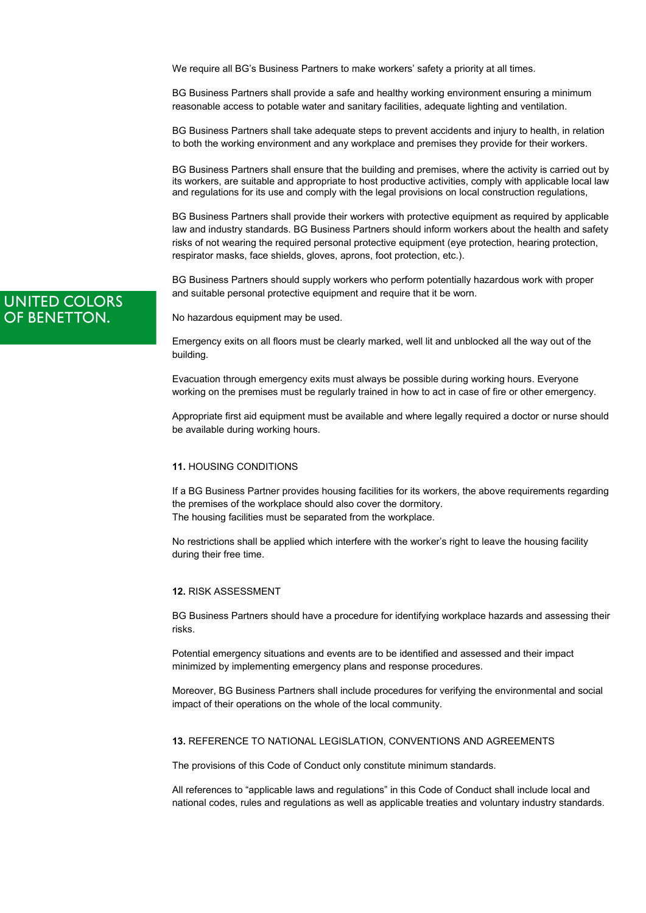We require all BG's Business Partners to make workers' safety a priority at all times.

BG Business Partners shall provide a safe and healthy working environment ensuring a minimum reasonable access to potable water and sanitary facilities, adequate lighting and ventilation.

BG Business Partners shall take adequate steps to prevent accidents and injury to health, in relation to both the working environment and any workplace and premises they provide for their workers.

BG Business Partners shall ensure that the building and premises, where the activity is carried out by its workers, are suitable and appropriate to host productive activities, comply with applicable local law and regulations for its use and comply with the legal provisions on local construction regulations,

BG Business Partners shall provide their workers with protective equipment as required by applicable law and industry standards. BG Business Partners should inform workers about the health and safety risks of not wearing the required personal protective equipment (eye protection, hearing protection, respirator masks, face shields, gloves, aprons, foot protection, etc.).

BG Business Partners should supply workers who perform potentially hazardous work with proper and suitable personal protective equipment and require that it be worn.

No hazardous equipment may be used.

Emergency exits on all floors must be clearly marked, well lit and unblocked all the way out of the building.

Evacuation through emergency exits must always be possible during working hours. Everyone working on the premises must be regularly trained in how to act in case of fire or other emergency.

Appropriate first aid equipment must be available and where legally required a doctor or nurse should be available during working hours.

#### **11.** HOUSING CONDITIONS

If a BG Business Partner provides housing facilities for its workers, the above requirements regarding the premises of the workplace should also cover the dormitory. The housing facilities must be separated from the workplace.

No restrictions shall be applied which interfere with the worker's right to leave the housing facility during their free time.

#### **12.** RISK ASSESSMENT

BG Business Partners should have a procedure for identifying workplace hazards and assessing their risks.

Potential emergency situations and events are to be identified and assessed and their impact minimized by implementing emergency plans and response procedures.

Moreover, BG Business Partners shall include procedures for verifying the environmental and social impact of their operations on the whole of the local community.

### **13.** REFERENCE TO NATIONAL LEGISLATION, CONVENTIONS AND AGREEMENTS

The provisions of this Code of Conduct only constitute minimum standards.

All references to "applicable laws and regulations" in this Code of Conduct shall include local and national codes, rules and regulations as well as applicable treaties and voluntary industry standards.

# **UNITED COLORS** OF BENETTON.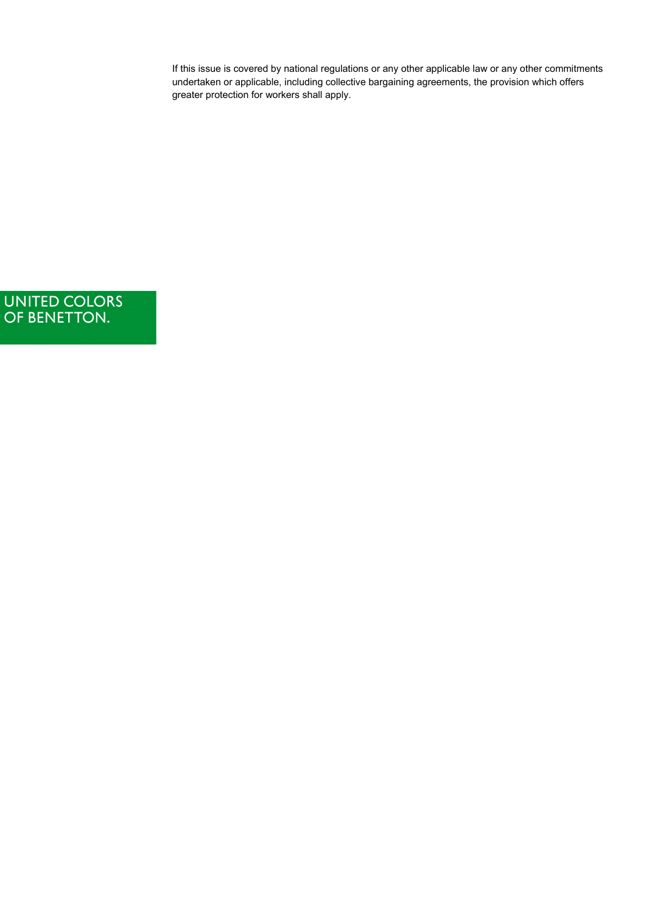If this issue is covered by national regulations or any other applicable law or any other commitments undertaken or applicable, including collective bargaining agreements, the provision which offers greater protection for workers shall apply.

UNITED COLORS<br>OF BENETTON.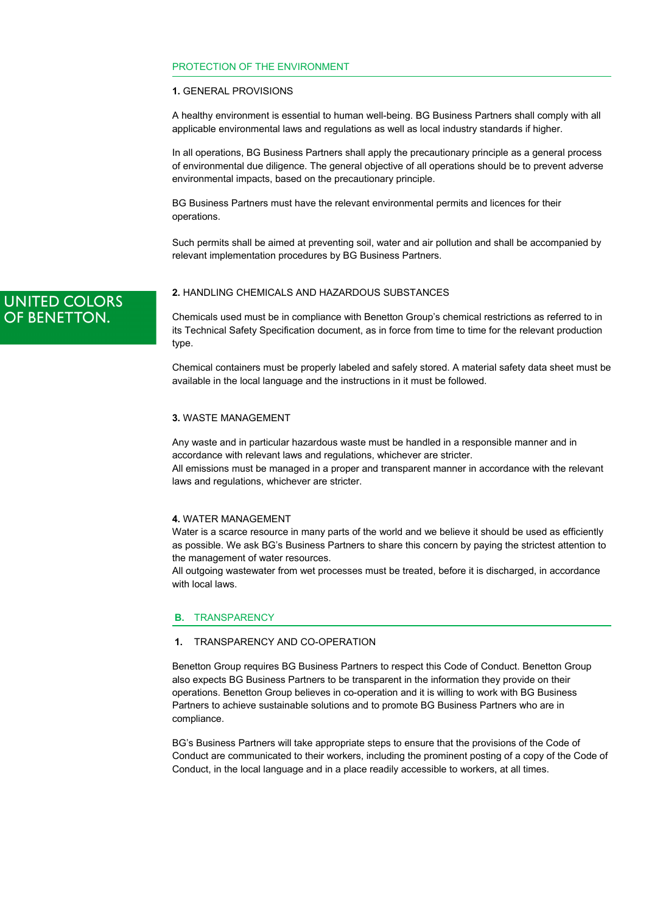# PROTECTION OF THE ENVIRONMENT

# **1.** GENERAL PROVISIONS

A healthy environment is essential to human well-being. BG Business Partners shall comply with all applicable environmental laws and regulations as well as local industry standards if higher.

In all operations, BG Business Partners shall apply the precautionary principle as a general process of environmental due diligence. The general objective of all operations should be to prevent adverse environmental impacts, based on the precautionary principle.

BG Business Partners must have the relevant environmental permits and licences for their operations.

Such permits shall be aimed at preventing soil, water and air pollution and shall be accompanied by relevant implementation procedures by BG Business Partners.

**UNITED COLORS** OF BENETTON.

# **2.** HANDLING CHEMICALS AND HAZARDOUS SUBSTANCES

Chemicals used must be in compliance with Benetton Group's chemical restrictions as referred to in its Technical Safety Specification document, as in force from time to time for the relevant production type.

Chemical containers must be properly labeled and safely stored. A material safety data sheet must be available in the local language and the instructions in it must be followed.

#### **3.** WASTE MANAGEMENT

Any waste and in particular hazardous waste must be handled in a responsible manner and in accordance with relevant laws and regulations, whichever are stricter.

All emissions must be managed in a proper and transparent manner in accordance with the relevant laws and regulations, whichever are stricter.

# **4.** WATER MANAGEMENT

Water is a scarce resource in many parts of the world and we believe it should be used as efficiently as possible. We ask BG's Business Partners to share this concern by paying the strictest attention to the management of water resources.

All outgoing wastewater from wet processes must be treated, before it is discharged, in accordance with local laws.

#### **B.** TRANSPARENCY

#### **1.** TRANSPARENCY AND CO-OPERATION

Benetton Group requires BG Business Partners to respect this Code of Conduct. Benetton Group also expects BG Business Partners to be transparent in the information they provide on their operations. Benetton Group believes in co-operation and it is willing to work with BG Business Partners to achieve sustainable solutions and to promote BG Business Partners who are in compliance.

BG's Business Partners will take appropriate steps to ensure that the provisions of the Code of Conduct are communicated to their workers, including the prominent posting of a copy of the Code of Conduct, in the local language and in a place readily accessible to workers, at all times.